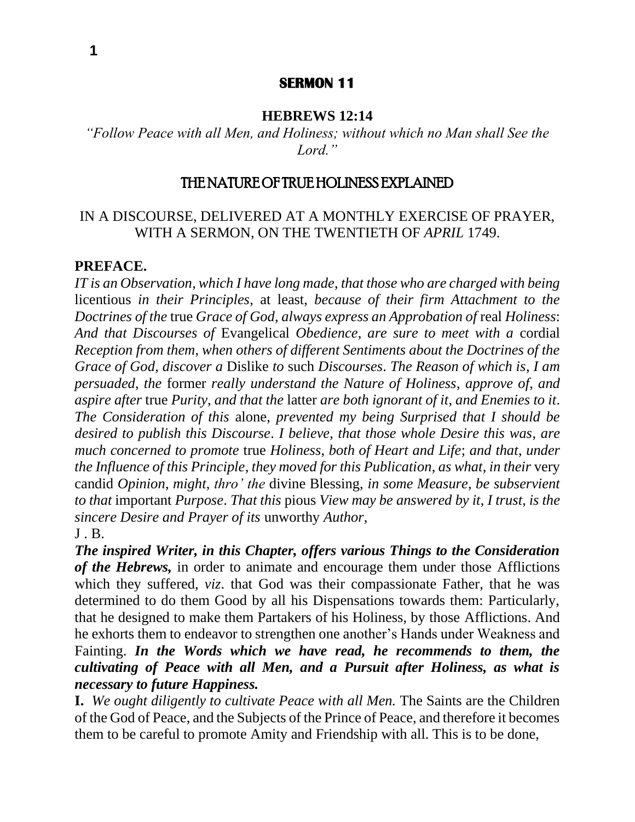## **SERMON 11**

### **HEBREWS 12:14**

*"Follow Peace with all Men, and Holiness; without which no Man shall See the Lord."*

## THE NATURE OF TRUE HOLINESS EXPLAINED

# IN A DISCOURSE, DELIVERED AT A MONTHLY EXERCISE OF PRAYER, WITH A SERMON, ON THE TWENTIETH OF *APRIL* 1749.

#### **PREFACE.**

*IT is an Observation*, *which I have long made*, *that those who are charged with being*  licentious *in their Principles*, at least, *because of their firm Attachment to the Doctrines of the* true *Grace of God*, *always express an Approbation of* real *Holiness*: *And that Discourses of* Evangelical *Obedience*, *are sure to meet with a* cordial *Reception from them*, *when others of different Sentiments about the Doctrines of the Grace of God*, *discover a* Dislike *to* such *Discourses*. *The Reason of which is*, *I am persuaded*, *the* former *really understand the Nature of Holiness*, *approve of*, *and aspire after* true *Purity*, *and that the* latter *are both ignorant of it*, *and Enemies to it*. *The Consideration of this* alone, *prevented my being Surprised that I should be desired to publish this Discourse*. *I believe*, *that those whole Desire this was*, *are much concerned to promote* true *Holiness*, *both of Heart and Life*; *and that*, *under the Influence of this Principle*, *they moved for this Publication*, *as what*, *in their* very candid *Opinion*, *might*, *thro' the* divine Blessing, *in some Measure*, *be subservient to that* important *Purpose*. *That this* pious *View may be answered by it*, *I trust*, *is the sincere Desire and Prayer of its* unworthy *Author*,  $J$  .  $B$ .

*The inspired Writer, in this Chapter, offers various Things to the Consideration of the Hebrews,* in order to animate and encourage them under those Afflictions which they suffered, *viz*. that God was their compassionate Father, that he was determined to do them Good by all his Dispensations towards them: Particularly, that he designed to make them Partakers of his Holiness, by those Afflictions. And he exhorts them to endeavor to strengthen one another's Hands under Weakness and Fainting. *In the Words which we have read, he recommends to them, the cultivating of Peace with all Men, and a Pursuit after Holiness, as what is necessary to future Happiness.*

**I.** *We ought diligently to cultivate Peace with all Men.* The Saints are the Children of the God of Peace, and the Subjects of the Prince of Peace, and therefore it becomes them to be careful to promote Amity and Friendship with all. This is to be done,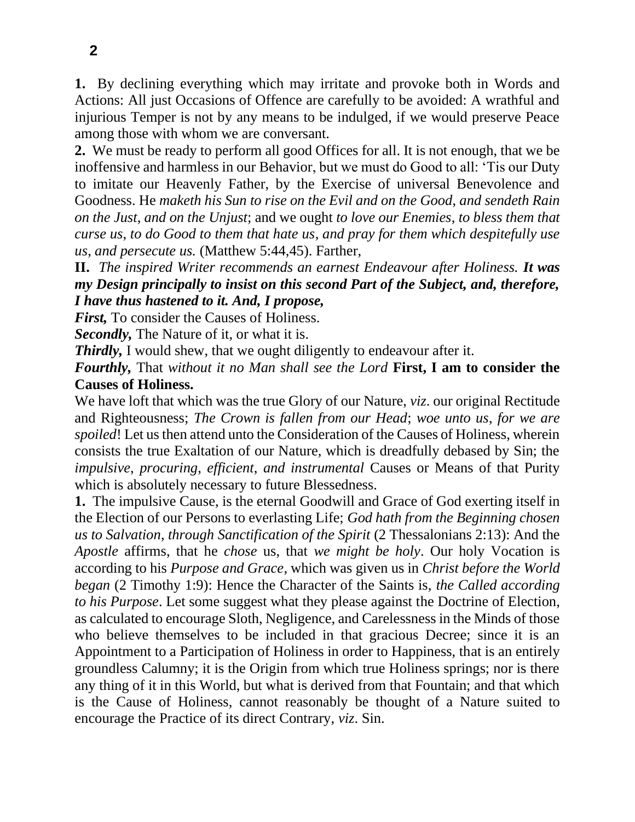**1.** By declining everything which may irritate and provoke both in Words and Actions: All just Occasions of Offence are carefully to be avoided: A wrathful and injurious Temper is not by any means to be indulged, if we would preserve Peace among those with whom we are conversant.

**2.** We must be ready to perform all good Offices for all. It is not enough, that we be inoffensive and harmless in our Behavior, but we must do Good to all: 'Tis our Duty to imitate our Heavenly Father, by the Exercise of universal Benevolence and Goodness. He *maketh his Sun to rise on the Evil and on the Good*, *and sendeth Rain on the Just*, *and on the Unjust*; and we ought *to love our Enemies*, *to bless them that curse us*, *to do Good to them that hate us*, *and pray for them which despitefully use us*, *and persecute us.* (Matthew 5:44,45). Farther,

**II.** *The inspired Writer recommends an earnest Endeavour after Holiness. It was my Design principally to insist on this second Part of the Subject, and, therefore, I have thus hastened to it. And, I propose,*

*First,* To consider the Causes of Holiness.

*Secondly,* The Nature of it, or what it is.

*Thirdly,* I would shew, that we ought diligently to endeavour after it.

*Fourthly,* That *without it no Man shall see the Lord* **First, I am to consider the Causes of Holiness.**

We have loft that which was the true Glory of our Nature, *viz*. our original Rectitude and Righteousness; *The Crown is fallen from our Head*; *woe unto us*, *for we are spoiled*! Let us then attend unto the Consideration of the Causes of Holiness, wherein consists the true Exaltation of our Nature, which is dreadfully debased by Sin; the *impulsive*, *procuring*, *efficient*, *and instrumental* Causes or Means of that Purity which is absolutely necessary to future Blessedness.

**1.** The impulsive Cause, is the eternal Goodwill and Grace of God exerting itself in the Election of our Persons to everlasting Life; *God hath from the Beginning chosen us to Salvation*, *through Sanctification of the Spirit* (2 Thessalonians 2:13): And the *Apostle* affirms, that he *chose* us, that *we might be holy*. Our holy Vocation is according to his *Purpose and Grace*, which was given us in *Christ before the World began* (2 Timothy 1:9): Hence the Character of the Saints is, *the Called according to his Purpose*. Let some suggest what they please against the Doctrine of Election, as calculated to encourage Sloth, Negligence, and Carelessness in the Minds of those who believe themselves to be included in that gracious Decree; since it is an Appointment to a Participation of Holiness in order to Happiness, that is an entirely groundless Calumny; it is the Origin from which true Holiness springs; nor is there any thing of it in this World, but what is derived from that Fountain; and that which is the Cause of Holiness, cannot reasonably be thought of a Nature suited to encourage the Practice of its direct Contrary, *viz*. Sin.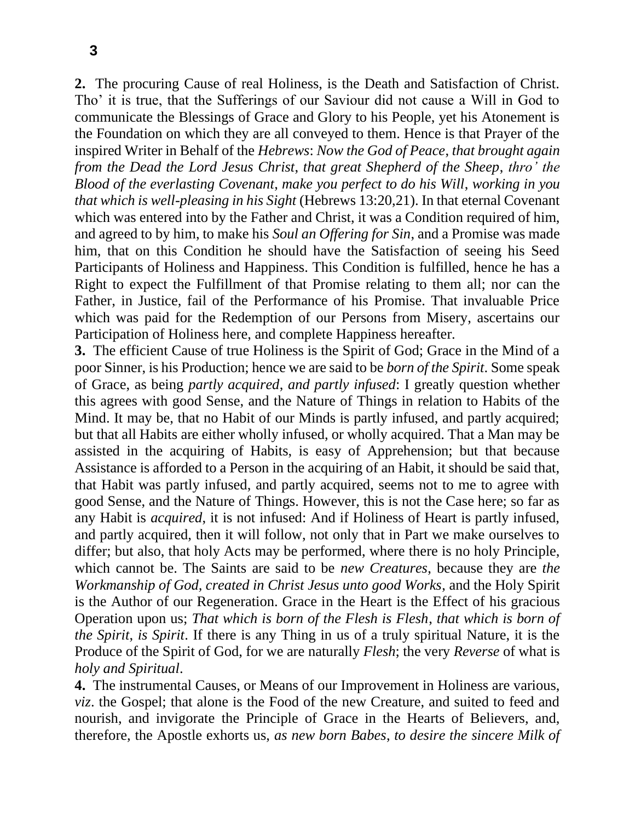**2.** The procuring Cause of real Holiness, is the Death and Satisfaction of Christ. Tho' it is true, that the Sufferings of our Saviour did not cause a Will in God to communicate the Blessings of Grace and Glory to his People, yet his Atonement is the Foundation on which they are all conveyed to them. Hence is that Prayer of the inspired Writer in Behalf of the *Hebrews*: *Now the God of Peace*, *that brought again from the Dead the Lord Jesus Christ*, *that great Shepherd of the Sheep*, *thro' the Blood of the everlasting Covenant*, *make you perfect to do his Will*, *working in you that which is well-pleasing in his Sight* (Hebrews 13:20,21). In that eternal Covenant which was entered into by the Father and Christ, it was a Condition required of him, and agreed to by him, to make his *Soul an Offering for Sin*, and a Promise was made him, that on this Condition he should have the Satisfaction of seeing his Seed Participants of Holiness and Happiness. This Condition is fulfilled, hence he has a Right to expect the Fulfillment of that Promise relating to them all; nor can the Father, in Justice, fail of the Performance of his Promise. That invaluable Price which was paid for the Redemption of our Persons from Misery, ascertains our Participation of Holiness here, and complete Happiness hereafter.

**3.** The efficient Cause of true Holiness is the Spirit of God; Grace in the Mind of a poor Sinner, is his Production; hence we are said to be *born of the Spirit*. Some speak of Grace, as being *partly acquired*, *and partly infused*: I greatly question whether this agrees with good Sense, and the Nature of Things in relation to Habits of the Mind. It may be, that no Habit of our Minds is partly infused, and partly acquired; but that all Habits are either wholly infused, or wholly acquired. That a Man may be assisted in the acquiring of Habits, is easy of Apprehension; but that because Assistance is afforded to a Person in the acquiring of an Habit, it should be said that, that Habit was partly infused, and partly acquired, seems not to me to agree with good Sense, and the Nature of Things. However, this is not the Case here; so far as any Habit is *acquired*, it is not infused: And if Holiness of Heart is partly infused, and partly acquired, then it will follow, not only that in Part we make ourselves to differ; but also, that holy Acts may be performed, where there is no holy Principle, which cannot be. The Saints are said to be *new Creatures*, because they are *the Workmanship of God, created in Christ Jesus unto good Works*, and the Holy Spirit is the Author of our Regeneration. Grace in the Heart is the Effect of his gracious Operation upon us; *That which is born of the Flesh is Flesh*, *that which is born of the Spirit*, *is Spirit*. If there is any Thing in us of a truly spiritual Nature, it is the Produce of the Spirit of God, for we are naturally *Flesh*; the very *Reverse* of what is *holy and Spiritual*.

**4.** The instrumental Causes, or Means of our Improvement in Holiness are various, *viz*. the Gospel; that alone is the Food of the new Creature, and suited to feed and nourish, and invigorate the Principle of Grace in the Hearts of Believers, and, therefore, the Apostle exhorts us, *as new born Babes*, *to desire the sincere Milk of*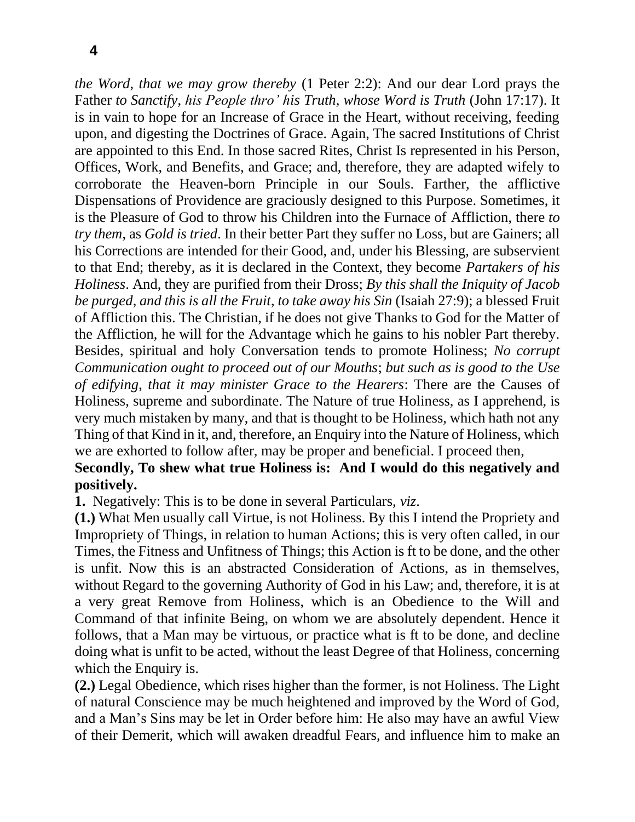*the Word*, *that we may grow thereby* (1 Peter 2:2): And our dear Lord prays the Father *to Sanctify*, *his People thro' his Truth*, *whose Word is Truth* (John 17:17). It is in vain to hope for an Increase of Grace in the Heart, without receiving, feeding upon, and digesting the Doctrines of Grace. Again, The sacred Institutions of Christ are appointed to this End. In those sacred Rites, Christ Is represented in his Person, Offices, Work, and Benefits, and Grace; and, therefore, they are adapted wifely to corroborate the Heaven-born Principle in our Souls. Farther, the afflictive Dispensations of Providence are graciously designed to this Purpose. Sometimes, it is the Pleasure of God to throw his Children into the Furnace of Affliction, there *to try them*, as *Gold is tried*. In their better Part they suffer no Loss, but are Gainers; all his Corrections are intended for their Good, and, under his Blessing, are subservient to that End; thereby, as it is declared in the Context, they become *Partakers of his Holiness*. And, they are purified from their Dross; *By this shall the Iniquity of Jacob be purged*, *and this is all the Fruit*, *to take away his Sin* (Isaiah 27:9); a blessed Fruit of Affliction this. The Christian, if he does not give Thanks to God for the Matter of the Affliction, he will for the Advantage which he gains to his nobler Part thereby. Besides, spiritual and holy Conversation tends to promote Holiness; *No corrupt Communication ought to proceed out of our Mouths*; *but such as is good to the Use of edifying*, *that it may minister Grace to the Hearers*: There are the Causes of Holiness, supreme and subordinate. The Nature of true Holiness, as I apprehend, is very much mistaken by many, and that is thought to be Holiness, which hath not any Thing of that Kind in it, and, therefore, an Enquiry into the Nature of Holiness, which we are exhorted to follow after, may be proper and beneficial. I proceed then,

# **Secondly, To shew what true Holiness is: And I would do this negatively and positively.**

**1.** Negatively: This is to be done in several Particulars, *viz*.

**(1.)** What Men usually call Virtue, is not Holiness. By this I intend the Propriety and Impropriety of Things, in relation to human Actions; this is very often called, in our Times, the Fitness and Unfitness of Things; this Action is ft to be done, and the other is unfit. Now this is an abstracted Consideration of Actions, as in themselves, without Regard to the governing Authority of God in his Law; and, therefore, it is at a very great Remove from Holiness, which is an Obedience to the Will and Command of that infinite Being, on whom we are absolutely dependent. Hence it follows, that a Man may be virtuous, or practice what is ft to be done, and decline doing what is unfit to be acted, without the least Degree of that Holiness, concerning which the Enquiry is.

**(2.)** Legal Obedience, which rises higher than the former, is not Holiness. The Light of natural Conscience may be much heightened and improved by the Word of God, and a Man's Sins may be let in Order before him: He also may have an awful View of their Demerit, which will awaken dreadful Fears, and influence him to make an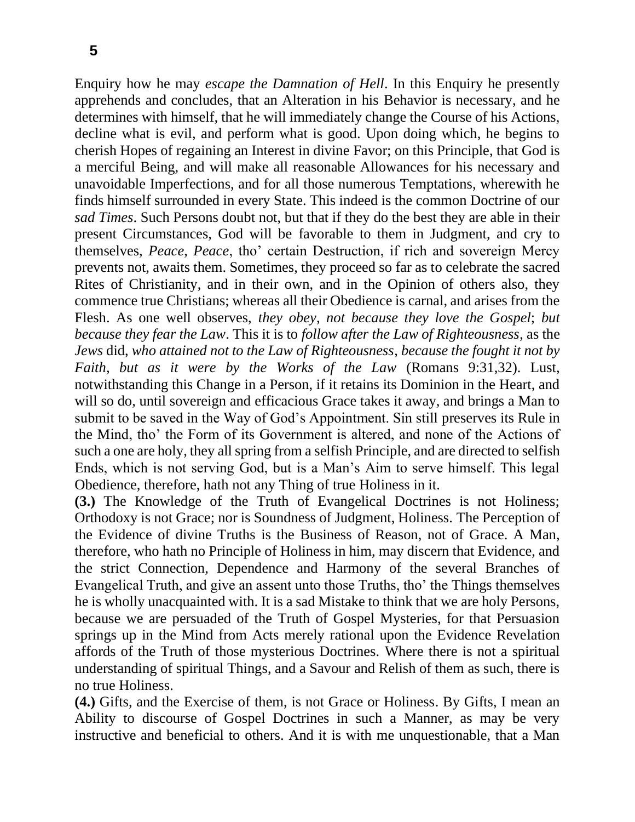Enquiry how he may *escape the Damnation of Hell*. In this Enquiry he presently apprehends and concludes, that an Alteration in his Behavior is necessary, and he determines with himself, that he will immediately change the Course of his Actions, decline what is evil, and perform what is good. Upon doing which, he begins to cherish Hopes of regaining an Interest in divine Favor; on this Principle, that God is a merciful Being, and will make all reasonable Allowances for his necessary and unavoidable Imperfections, and for all those numerous Temptations, wherewith he finds himself surrounded in every State. This indeed is the common Doctrine of our *sad Times*. Such Persons doubt not, but that if they do the best they are able in their present Circumstances, God will be favorable to them in Judgment, and cry to themselves, *Peace*, *Peace*, tho' certain Destruction, if rich and sovereign Mercy prevents not, awaits them. Sometimes, they proceed so far as to celebrate the sacred Rites of Christianity, and in their own, and in the Opinion of others also, they commence true Christians; whereas all their Obedience is carnal, and arises from the Flesh. As one well observes, *they obey*, *not because they love the Gospel*; *but because they fear the Law*. This it is to *follow after the Law of Righteousness*, as the *Jews* did, *who attained not to the Law of Righteousness*, *because the fought it not by Faith*, *but as it were by the Works of the Law* (Romans 9:31,32). Lust, notwithstanding this Change in a Person, if it retains its Dominion in the Heart, and will so do, until sovereign and efficacious Grace takes it away, and brings a Man to submit to be saved in the Way of God's Appointment. Sin still preserves its Rule in the Mind, tho' the Form of its Government is altered, and none of the Actions of such a one are holy, they all spring from a selfish Principle, and are directed to selfish Ends, which is not serving God, but is a Man's Aim to serve himself. This legal Obedience, therefore, hath not any Thing of true Holiness in it.

**(3.)** The Knowledge of the Truth of Evangelical Doctrines is not Holiness; Orthodoxy is not Grace; nor is Soundness of Judgment, Holiness. The Perception of the Evidence of divine Truths is the Business of Reason, not of Grace. A Man, therefore, who hath no Principle of Holiness in him, may discern that Evidence, and the strict Connection, Dependence and Harmony of the several Branches of Evangelical Truth, and give an assent unto those Truths, tho' the Things themselves he is wholly unacquainted with. It is a sad Mistake to think that we are holy Persons, because we are persuaded of the Truth of Gospel Mysteries, for that Persuasion springs up in the Mind from Acts merely rational upon the Evidence Revelation affords of the Truth of those mysterious Doctrines. Where there is not a spiritual understanding of spiritual Things, and a Savour and Relish of them as such, there is no true Holiness.

**(4.)** Gifts, and the Exercise of them, is not Grace or Holiness. By Gifts, I mean an Ability to discourse of Gospel Doctrines in such a Manner, as may be very instructive and beneficial to others. And it is with me unquestionable, that a Man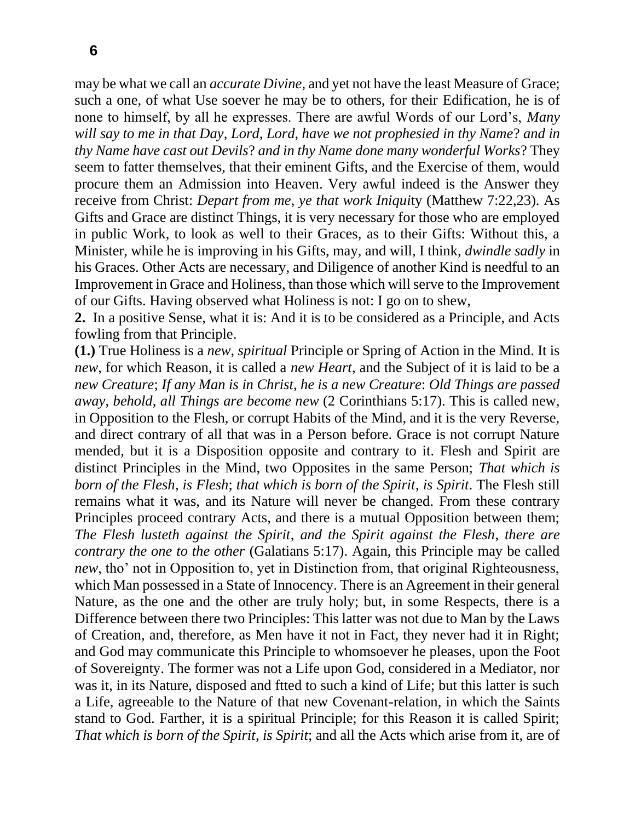**6**

may be what we call an *accurate Divine*, and yet not have the least Measure of Grace; such a one, of what Use soever he may be to others, for their Edification, he is of none to himself, by all he expresses. There are awful Words of our Lord's, *Many will say to me in that Day*, *Lord*, *Lord*, *have we not prophesied in thy Name*? *and in thy Name have cast out Devils*? *and in thy Name done many wonderful Works*? They seem to fatter themselves, that their eminent Gifts, and the Exercise of them, would procure them an Admission into Heaven. Very awful indeed is the Answer they receive from Christ: *Depart from me*, *ye that work Iniqui*ty (Matthew 7:22,23). As Gifts and Grace are distinct Things, it is very necessary for those who are employed in public Work, to look as well to their Graces, as to their Gifts: Without this, a Minister, while he is improving in his Gifts, may, and will, I think, *dwindle sadly* in his Graces. Other Acts are necessary, and Diligence of another Kind is needful to an Improvement in Grace and Holiness, than those which will serve to the Improvement of our Gifts. Having observed what Holiness is not: I go on to shew,

**2.** In a positive Sense, what it is: And it is to be considered as a Principle, and Acts fowling from that Principle.

**(1.)** True Holiness is a *new*, *spiritual* Principle or Spring of Action in the Mind. It is *new*, for which Reason, it is called a *new Heart*, and the Subject of it is laid to be a *new Creature*; *If any Man is in Christ*, *he is a new Creature*: *Old Things are passed away*, *behold*, *all Things are become new* (2 Corinthians 5:17). This is called new, in Opposition to the Flesh, or corrupt Habits of the Mind, and it is the very Reverse, and direct contrary of all that was in a Person before. Grace is not corrupt Nature mended, but it is a Disposition opposite and contrary to it. Flesh and Spirit are distinct Principles in the Mind, two Opposites in the same Person; *That which is born of the Flesh*, *is Flesh*; *that which is born of the Spirit*, *is Spirit*. The Flesh still remains what it was, and its Nature will never be changed. From these contrary Principles proceed contrary Acts, and there is a mutual Opposition between them; *The Flesh lusteth against the Spirit*, *and the Spirit against the Flesh*, *there are contrary the one to the other* (Galatians 5:17). Again, this Principle may be called *new*, tho' not in Opposition to, yet in Distinction from, that original Righteousness, which Man possessed in a State of Innocency. There is an Agreement in their general Nature, as the one and the other are truly holy; but, in some Respects, there is a Difference between there two Principles: This latter was not due to Man by the Laws of Creation, and, therefore, as Men have it not in Fact, they never had it in Right; and God may communicate this Principle to whomsoever he pleases, upon the Foot of Sovereignty. The former was not a Life upon God, considered in a Mediator, nor was it, in its Nature, disposed and ftted to such a kind of Life; but this latter is such a Life, agreeable to the Nature of that new Covenant-relation, in which the Saints stand to God. Farther, it is a spiritual Principle; for this Reason it is called Spirit; *That which is born of the Spirit*, *is Spirit*; and all the Acts which arise from it, are of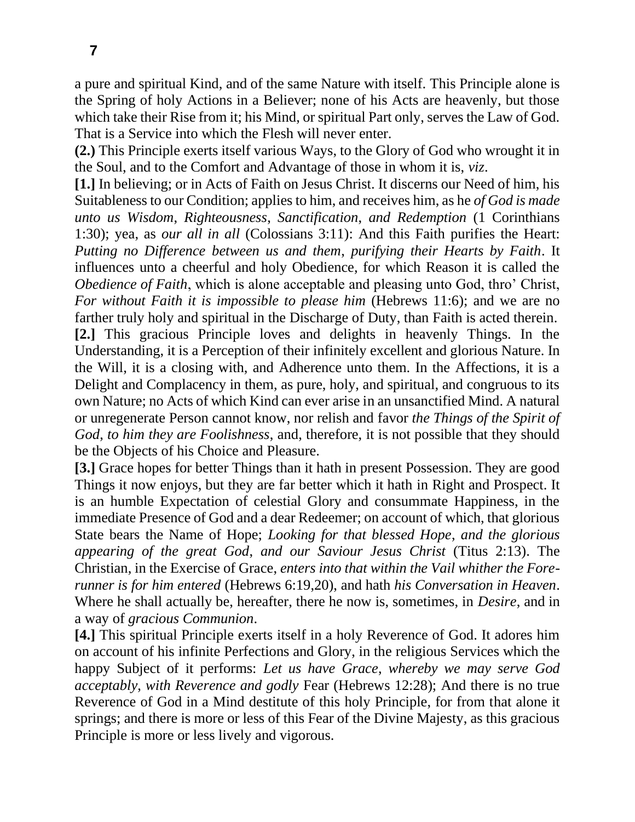a pure and spiritual Kind, and of the same Nature with itself. This Principle alone is the Spring of holy Actions in a Believer; none of his Acts are heavenly, but those which take their Rise from it; his Mind, or spiritual Part only, serves the Law of God. That is a Service into which the Flesh will never enter.

**(2.)** This Principle exerts itself various Ways, to the Glory of God who wrought it in the Soul, and to the Comfort and Advantage of those in whom it is, *viz*.

**[1.]** In believing; or in Acts of Faith on Jesus Christ. It discerns our Need of him, his Suitableness to our Condition; applies to him, and receives him, as he *of God is made unto us Wisdom*, *Righteousness*, *Sanctification*, *and Redemption* (1 Corinthians 1:30); yea, as *our all in all* (Colossians 3:11): And this Faith purifies the Heart: *Putting no Difference between us and them*, *purifying their Hearts by Faith*. It influences unto a cheerful and holy Obedience, for which Reason it is called the *Obedience of Faith*, which is alone acceptable and pleasing unto God, thro' Christ, *For without Faith it is impossible to please him (Hebrews 11:6); and we are no* farther truly holy and spiritual in the Discharge of Duty, than Faith is acted therein. **[2.]** This gracious Principle loves and delights in heavenly Things. In the Understanding, it is a Perception of their infinitely excellent and glorious Nature. In the Will, it is a closing with, and Adherence unto them. In the Affections, it is a Delight and Complacency in them, as pure, holy, and spiritual, and congruous to its own Nature; no Acts of which Kind can ever arise in an unsanctified Mind. A natural or unregenerate Person cannot know, nor relish and favor *the Things of the Spirit of God*, *to him they are Foolishness*, and, therefore, it is not possible that they should be the Objects of his Choice and Pleasure.

**[3.]** Grace hopes for better Things than it hath in present Possession. They are good Things it now enjoys, but they are far better which it hath in Right and Prospect. It is an humble Expectation of celestial Glory and consummate Happiness, in the immediate Presence of God and a dear Redeemer; on account of which, that glorious State bears the Name of Hope; *Looking for that blessed Hope*, *and the glorious appearing of the great God*, *and our Saviour Jesus Christ* (Titus 2:13). The Christian, in the Exercise of Grace, *enters into that within the Vail whither the Forerunner is for him entered* (Hebrews 6:19,20), and hath *his Conversation in Heaven*. Where he shall actually be, hereafter, there he now is, sometimes, in *Desire*, and in a way of *gracious Communion*.

**[4.]** This spiritual Principle exerts itself in a holy Reverence of God. It adores him on account of his infinite Perfections and Glory, in the religious Services which the happy Subject of it performs: *Let us have Grace*, *whereby we may serve God acceptably*, *with Reverence and godly* Fear (Hebrews 12:28); And there is no true Reverence of God in a Mind destitute of this holy Principle, for from that alone it springs; and there is more or less of this Fear of the Divine Majesty, as this gracious Principle is more or less lively and vigorous.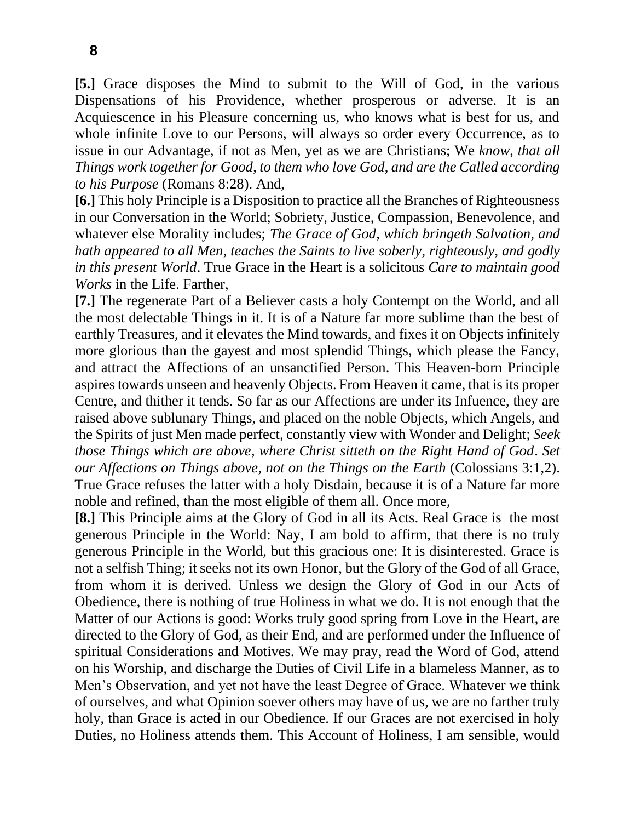**[5.]** Grace disposes the Mind to submit to the Will of God, in the various Dispensations of his Providence, whether prosperous or adverse. It is an Acquiescence in his Pleasure concerning us, who knows what is best for us, and whole infinite Love to our Persons, will always so order every Occurrence, as to issue in our Advantage, if not as Men, yet as we are Christians; We *know*, *that all Things work together for Good*, *to them who love God*, *and are the Called according to his Purpose* (Romans 8:28). And,

**[6.]** This holy Principle is a Disposition to practice all the Branches of Righteousness in our Conversation in the World; Sobriety, Justice, Compassion, Benevolence, and whatever else Morality includes; *The Grace of God*, *which bringeth Salvation*, *and hath appeared to all Men*, *teaches the Saints to live soberly*, *righteously*, *and godly in this present World*. True Grace in the Heart is a solicitous *Care to maintain good Works* in the Life. Farther,

**[7.]** The regenerate Part of a Believer casts a holy Contempt on the World, and all the most delectable Things in it. It is of a Nature far more sublime than the best of earthly Treasures, and it elevates the Mind towards, and fixes it on Objects infinitely more glorious than the gayest and most splendid Things, which please the Fancy, and attract the Affections of an unsanctified Person. This Heaven-born Principle aspires towards unseen and heavenly Objects. From Heaven it came, that is its proper Centre, and thither it tends. So far as our Affections are under its Infuence, they are raised above sublunary Things, and placed on the noble Objects, which Angels, and the Spirits of just Men made perfect, constantly view with Wonder and Delight; *Seek those Things which are above*, *where Christ sitteth on the Right Hand of God*. *Set our Affections on Things above*, *not on the Things on the Earth* (Colossians 3:1,2). True Grace refuses the latter with a holy Disdain, because it is of a Nature far more noble and refined, than the most eligible of them all. Once more,

**[8.]** This Principle aims at the Glory of God in all its Acts. Real Grace is the most generous Principle in the World: Nay, I am bold to affirm, that there is no truly generous Principle in the World, but this gracious one: It is disinterested. Grace is not a selfish Thing; it seeks not its own Honor, but the Glory of the God of all Grace, from whom it is derived. Unless we design the Glory of God in our Acts of Obedience, there is nothing of true Holiness in what we do. It is not enough that the Matter of our Actions is good: Works truly good spring from Love in the Heart, are directed to the Glory of God, as their End, and are performed under the Influence of spiritual Considerations and Motives. We may pray, read the Word of God, attend on his Worship, and discharge the Duties of Civil Life in a blameless Manner, as to Men's Observation, and yet not have the least Degree of Grace. Whatever we think of ourselves, and what Opinion soever others may have of us, we are no farther truly holy, than Grace is acted in our Obedience. If our Graces are not exercised in holy Duties, no Holiness attends them. This Account of Holiness, I am sensible, would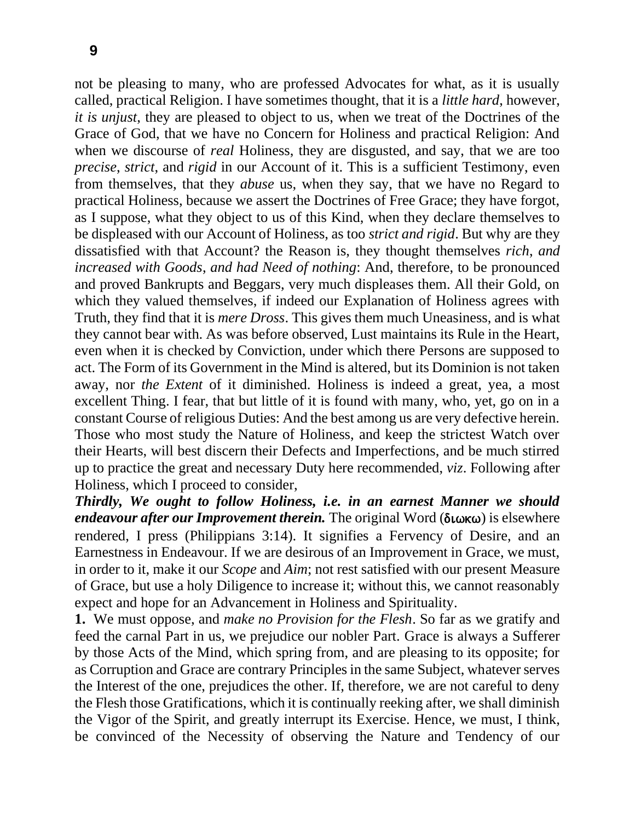not be pleasing to many, who are professed Advocates for what, as it is usually called, practical Religion. I have sometimes thought, that it is a *little hard*, however, *it is unjust*, they are pleased to object to us, when we treat of the Doctrines of the Grace of God, that we have no Concern for Holiness and practical Religion: And when we discourse of *real* Holiness, they are disgusted, and say, that we are too *precise*, *strict*, and *rigid* in our Account of it. This is a sufficient Testimony, even from themselves, that they *abuse* us, when they say, that we have no Regard to practical Holiness, because we assert the Doctrines of Free Grace; they have forgot, as I suppose, what they object to us of this Kind, when they declare themselves to be displeased with our Account of Holiness, as too *strict and rigid*. But why are they dissatisfied with that Account? the Reason is, they thought themselves *rich*, *and increased with Goods*, *and had Need of nothing*: And, therefore, to be pronounced and proved Bankrupts and Beggars, very much displeases them. All their Gold, on which they valued themselves, if indeed our Explanation of Holiness agrees with Truth, they find that it is *mere Dross*. This gives them much Uneasiness, and is what they cannot bear with. As was before observed, Lust maintains its Rule in the Heart, even when it is checked by Conviction, under which there Persons are supposed to act. The Form of its Government in the Mind is altered, but its Dominion is not taken away, nor *the Extent* of it diminished. Holiness is indeed a great, yea, a most excellent Thing. I fear, that but little of it is found with many, who, yet, go on in a constant Course of religious Duties: And the best among us are very defective herein. Those who most study the Nature of Holiness, and keep the strictest Watch over their Hearts, will best discern their Defects and Imperfections, and be much stirred up to practice the great and necessary Duty here recommended, *viz*. Following after Holiness, which I proceed to consider,

*Thirdly, We ought to follow Holiness, i.e. in an earnest Manner we should endeavour after our Improvement therein*. The original Word (διωκω) is elsewhere rendered, I press (Philippians 3:14). It signifies a Fervency of Desire, and an Earnestness in Endeavour. If we are desirous of an Improvement in Grace, we must, in order to it, make it our *Scope* and *Aim*; not rest satisfied with our present Measure of Grace, but use a holy Diligence to increase it; without this, we cannot reasonably expect and hope for an Advancement in Holiness and Spirituality.

**1.** We must oppose, and *make no Provision for the Flesh*. So far as we gratify and feed the carnal Part in us, we prejudice our nobler Part. Grace is always a Sufferer by those Acts of the Mind, which spring from, and are pleasing to its opposite; for as Corruption and Grace are contrary Principles in the same Subject, whatever serves the Interest of the one, prejudices the other. If, therefore, we are not careful to deny the Flesh those Gratifications, which it is continually reeking after, we shall diminish the Vigor of the Spirit, and greatly interrupt its Exercise. Hence, we must, I think, be convinced of the Necessity of observing the Nature and Tendency of our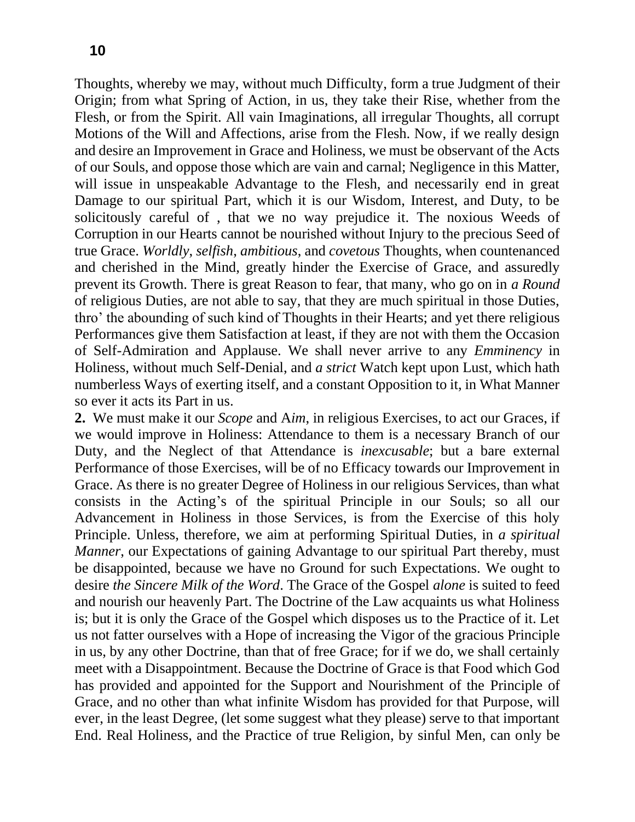Thoughts, whereby we may, without much Difficulty, form a true Judgment of their Origin; from what Spring of Action, in us, they take their Rise, whether from the Flesh, or from the Spirit. All vain Imaginations, all irregular Thoughts, all corrupt Motions of the Will and Affections, arise from the Flesh. Now, if we really design and desire an Improvement in Grace and Holiness, we must be observant of the Acts of our Souls, and oppose those which are vain and carnal; Negligence in this Matter, will issue in unspeakable Advantage to the Flesh, and necessarily end in great Damage to our spiritual Part, which it is our Wisdom, Interest, and Duty, to be solicitously careful of , that we no way prejudice it. The noxious Weeds of Corruption in our Hearts cannot be nourished without Injury to the precious Seed of true Grace. *Worldly*, *selfish*, *ambitious*, and *covetous* Thoughts, when countenanced and cherished in the Mind, greatly hinder the Exercise of Grace, and assuredly prevent its Growth. There is great Reason to fear, that many, who go on in *a Round*  of religious Duties, are not able to say, that they are much spiritual in those Duties, thro' the abounding of such kind of Thoughts in their Hearts; and yet there religious Performances give them Satisfaction at least, if they are not with them the Occasion of Self-Admiration and Applause. We shall never arrive to any *Emminency* in Holiness, without much Self-Denial, and *a strict* Watch kept upon Lust, which hath numberless Ways of exerting itself, and a constant Opposition to it, in What Manner so ever it acts its Part in us.

**2.** We must make it our *Scope* and A*im*, in religious Exercises, to act our Graces, if we would improve in Holiness: Attendance to them is a necessary Branch of our Duty, and the Neglect of that Attendance is *inexcusable*; but a bare external Performance of those Exercises, will be of no Efficacy towards our Improvement in Grace. As there is no greater Degree of Holiness in our religious Services, than what consists in the Acting's of the spiritual Principle in our Souls; so all our Advancement in Holiness in those Services, is from the Exercise of this holy Principle. Unless, therefore, we aim at performing Spiritual Duties, in *a spiritual Manner*, our Expectations of gaining Advantage to our spiritual Part thereby, must be disappointed, because we have no Ground for such Expectations. We ought to desire *the Sincere Milk of the Word*. The Grace of the Gospel *alone* is suited to feed and nourish our heavenly Part. The Doctrine of the Law acquaints us what Holiness is; but it is only the Grace of the Gospel which disposes us to the Practice of it. Let us not fatter ourselves with a Hope of increasing the Vigor of the gracious Principle in us, by any other Doctrine, than that of free Grace; for if we do, we shall certainly meet with a Disappointment. Because the Doctrine of Grace is that Food which God has provided and appointed for the Support and Nourishment of the Principle of Grace, and no other than what infinite Wisdom has provided for that Purpose, will ever, in the least Degree, (let some suggest what they please) serve to that important End. Real Holiness, and the Practice of true Religion, by sinful Men, can only be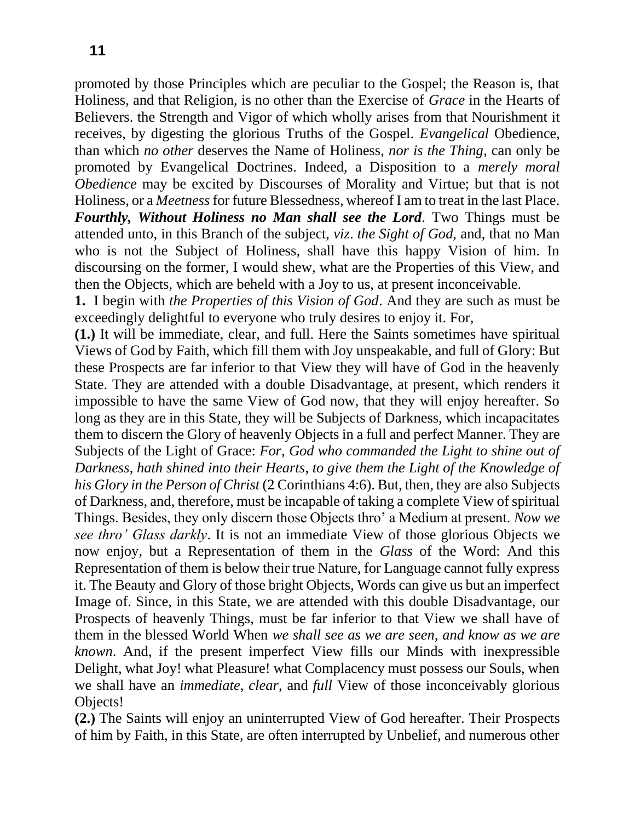promoted by those Principles which are peculiar to the Gospel; the Reason is, that Holiness, and that Religion, is no other than the Exercise of *Grace* in the Hearts of Believers. the Strength and Vigor of which wholly arises from that Nourishment it receives, by digesting the glorious Truths of the Gospel. *Evangelical* Obedience, than which *no other* deserves the Name of Holiness, *nor is the Thing*, can only be promoted by Evangelical Doctrines. Indeed, a Disposition to a *merely moral Obedience* may be excited by Discourses of Morality and Virtue; but that is not Holiness, or a *Meetness* for future Blessedness, whereof I am to treat in the last Place. *Fourthly, Without Holiness no Man shall see the Lord.* Two Things must be attended unto, in this Branch of the subject, *viz*. *the Sight of God,* and, that no Man who is not the Subject of Holiness, shall have this happy Vision of him. In discoursing on the former, I would shew, what are the Properties of this View, and then the Objects, which are beheld with a Joy to us, at present inconceivable.

**1.** I begin with *the Properties of this Vision of God*. And they are such as must be exceedingly delightful to everyone who truly desires to enjoy it. For,

**(1.)** It will be immediate, clear, and full. Here the Saints sometimes have spiritual Views of God by Faith, which fill them with Joy unspeakable, and full of Glory: But these Prospects are far inferior to that View they will have of God in the heavenly State. They are attended with a double Disadvantage, at present, which renders it impossible to have the same View of God now, that they will enjoy hereafter. So long as they are in this State, they will be Subjects of Darkness, which incapacitates them to discern the Glory of heavenly Objects in a full and perfect Manner. They are Subjects of the Light of Grace: *For*, *God who commanded the Light to shine out of Darkness*, *hath shined into their Hearts*, *to give them the Light of the Knowledge of his Glory in the Person of Christ* (2 Corinthians 4:6). But, then, they are also Subjects of Darkness, and, therefore, must be incapable of taking a complete View of spiritual Things. Besides, they only discern those Objects thro' a Medium at present. *Now we see thro' Glass darkly*. It is not an immediate View of those glorious Objects we now enjoy, but a Representation of them in the *Glass* of the Word: And this Representation of them is below their true Nature, for Language cannot fully express it. The Beauty and Glory of those bright Objects, Words can give us but an imperfect Image of. Since, in this State, we are attended with this double Disadvantage, our Prospects of heavenly Things, must be far inferior to that View we shall have of them in the blessed World When *we shall see as we are seen*, *and know as we are known*. And, if the present imperfect View fills our Minds with inexpressible Delight, what Joy! what Pleasure! what Complacency must possess our Souls, when we shall have an *immediate*, *clear*, and *full* View of those inconceivably glorious Objects!

**(2.)** The Saints will enjoy an uninterrupted View of God hereafter. Their Prospects of him by Faith, in this State, are often interrupted by Unbelief, and numerous other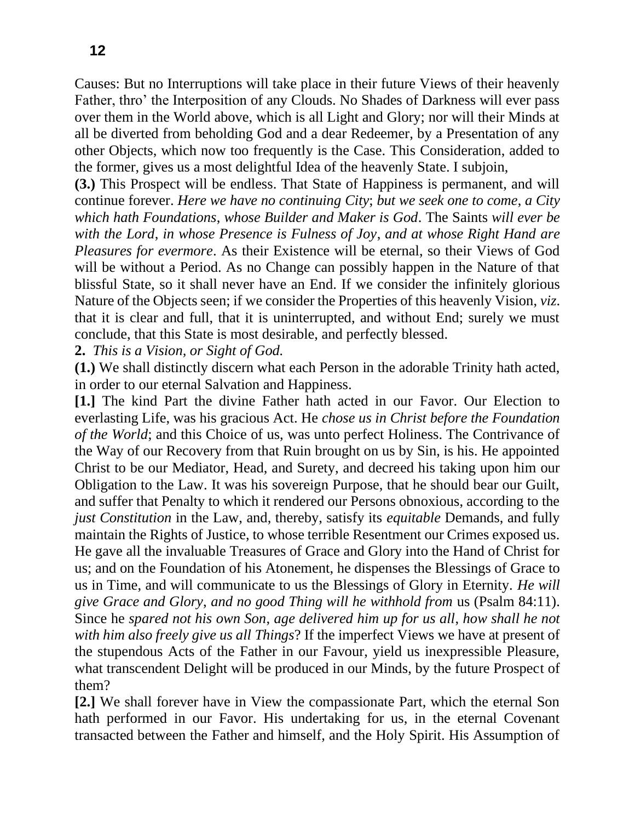Causes: But no Interruptions will take place in their future Views of their heavenly Father, thro' the Interposition of any Clouds. No Shades of Darkness will ever pass over them in the World above, which is all Light and Glory; nor will their Minds at all be diverted from beholding God and a dear Redeemer, by a Presentation of any other Objects, which now too frequently is the Case. This Consideration, added to the former, gives us a most delightful Idea of the heavenly State. I subjoin,

**(3.)** This Prospect will be endless. That State of Happiness is permanent, and will continue forever. *Here we have no continuing City*; *but we seek one to come*, *a City which hath Foundations*, *whose Builder and Maker is God*. The Saints *will ever be with the Lord*, *in whose Presence is Fulness of Joy*, *and at whose Right Hand are Pleasures for evermore*. As their Existence will be eternal, so their Views of God will be without a Period. As no Change can possibly happen in the Nature of that blissful State, so it shall never have an End. If we consider the infinitely glorious Nature of the Objects seen; if we consider the Properties of this heavenly Vision, *viz*. that it is clear and full, that it is uninterrupted, and without End; surely we must conclude, that this State is most desirable, and perfectly blessed.

**2.** *This is a Vision, or Sight of God.*

**(1.)** We shall distinctly discern what each Person in the adorable Trinity hath acted, in order to our eternal Salvation and Happiness.

**[1.]** The kind Part the divine Father hath acted in our Favor. Our Election to everlasting Life, was his gracious Act. He *chose us in Christ before the Foundation of the World*; and this Choice of us, was unto perfect Holiness. The Contrivance of the Way of our Recovery from that Ruin brought on us by Sin, is his. He appointed Christ to be our Mediator, Head, and Surety, and decreed his taking upon him our Obligation to the Law. It was his sovereign Purpose, that he should bear our Guilt, and suffer that Penalty to which it rendered our Persons obnoxious, according to the *just Constitution* in the Law, and, thereby, satisfy its *equitable* Demands, and fully maintain the Rights of Justice, to whose terrible Resentment our Crimes exposed us. He gave all the invaluable Treasures of Grace and Glory into the Hand of Christ for us; and on the Foundation of his Atonement, he dispenses the Blessings of Grace to us in Time, and will communicate to us the Blessings of Glory in Eternity. *He will give Grace and Glory*, *and no good Thing will he withhold from* us (Psalm 84:11). Since he *spared not his own Son*, *age delivered him up for us all*, *how shall he not with him also freely give us all Things*? If the imperfect Views we have at present of the stupendous Acts of the Father in our Favour, yield us inexpressible Pleasure, what transcendent Delight will be produced in our Minds, by the future Prospect of them?

**[2.]** We shall forever have in View the compassionate Part, which the eternal Son hath performed in our Favor. His undertaking for us, in the eternal Covenant transacted between the Father and himself, and the Holy Spirit. His Assumption of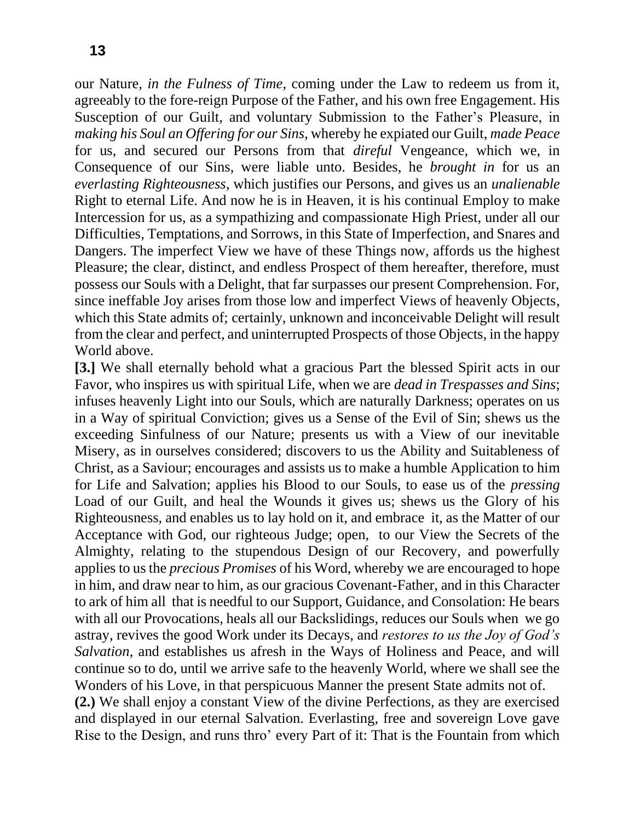our Nature, *in the Fulness of Time*, coming under the Law to redeem us from it, agreeably to the fore-reign Purpose of the Father, and his own free Engagement. His Susception of our Guilt, and voluntary Submission to the Father's Pleasure, in *making his Soul an Offering for our Sins*, whereby he expiated our Guilt, *made Peace*  for us, and secured our Persons from that *direful* Vengeance, which we, in Consequence of our Sins, were liable unto. Besides, he *brought in* for us an *everlasting Righteousness*, which justifies our Persons, and gives us an *unalienable*  Right to eternal Life. And now he is in Heaven, it is his continual Employ to make Intercession for us, as a sympathizing and compassionate High Priest, under all our Difficulties, Temptations, and Sorrows, in this State of Imperfection, and Snares and Dangers. The imperfect View we have of these Things now, affords us the highest Pleasure; the clear, distinct, and endless Prospect of them hereafter, therefore, must possess our Souls with a Delight, that far surpasses our present Comprehension. For, since ineffable Joy arises from those low and imperfect Views of heavenly Objects, which this State admits of; certainly, unknown and inconceivable Delight will result from the clear and perfect, and uninterrupted Prospects of those Objects, in the happy World above.

**[3.]** We shall eternally behold what a gracious Part the blessed Spirit acts in our Favor, who inspires us with spiritual Life, when we are *dead in Trespasses and Sins*; infuses heavenly Light into our Souls, which are naturally Darkness; operates on us in a Way of spiritual Conviction; gives us a Sense of the Evil of Sin; shews us the exceeding Sinfulness of our Nature; presents us with a View of our inevitable Misery, as in ourselves considered; discovers to us the Ability and Suitableness of Christ, as a Saviour; encourages and assists us to make a humble Application to him for Life and Salvation; applies his Blood to our Souls, to ease us of the *pressing*  Load of our Guilt, and heal the Wounds it gives us; shews us the Glory of his Righteousness, and enables us to lay hold on it, and embrace it, as the Matter of our Acceptance with God, our righteous Judge; open, to our View the Secrets of the Almighty, relating to the stupendous Design of our Recovery, and powerfully applies to us the *precious Promises* of his Word, whereby we are encouraged to hope in him, and draw near to him, as our gracious Covenant-Father, and in this Character to ark of him all that is needful to our Support, Guidance, and Consolation: He bears with all our Provocations, heals all our Backslidings, reduces our Souls when we go astray, revives the good Work under its Decays, and *restores to us the Joy of God's Salvation*, and establishes us afresh in the Ways of Holiness and Peace, and will continue so to do, until we arrive safe to the heavenly World, where we shall see the Wonders of his Love, in that perspicuous Manner the present State admits not of.

**(2.)** We shall enjoy a constant View of the divine Perfections, as they are exercised and displayed in our eternal Salvation. Everlasting, free and sovereign Love gave Rise to the Design, and runs thro' every Part of it: That is the Fountain from which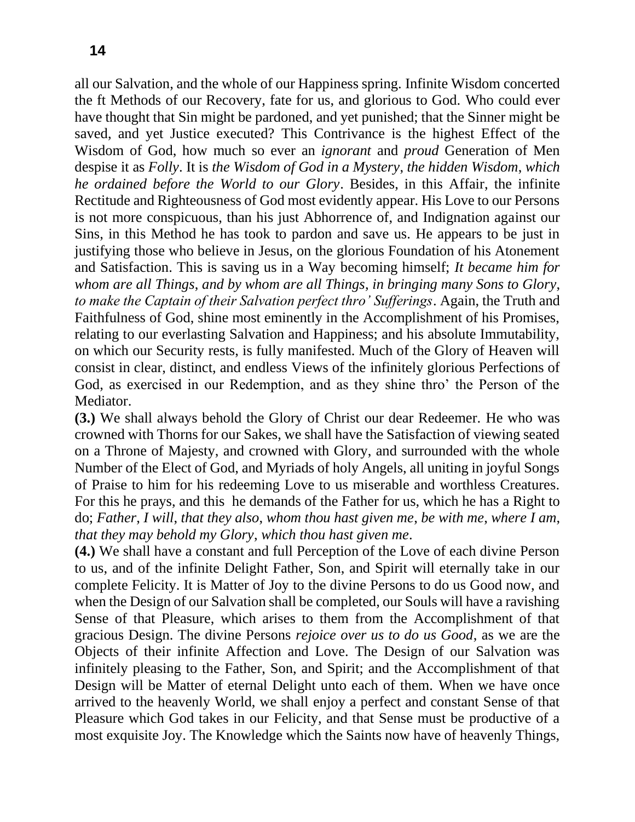all our Salvation, and the whole of our Happiness spring. Infinite Wisdom concerted the ft Methods of our Recovery, fate for us, and glorious to God. Who could ever have thought that Sin might be pardoned, and yet punished; that the Sinner might be saved, and yet Justice executed? This Contrivance is the highest Effect of the Wisdom of God, how much so ever an *ignorant* and *proud* Generation of Men despise it as *Folly*. It is *the Wisdom of God in a Mystery*, *the hidden Wisdom*, *which he ordained before the World to our Glory*. Besides, in this Affair, the infinite Rectitude and Righteousness of God most evidently appear. His Love to our Persons is not more conspicuous, than his just Abhorrence of, and Indignation against our Sins, in this Method he has took to pardon and save us. He appears to be just in justifying those who believe in Jesus, on the glorious Foundation of his Atonement and Satisfaction. This is saving us in a Way becoming himself; *It became him for whom are all Things*, *and by whom are all Things*, *in bringing many Sons to Glory*, *to make the Captain of their Salvation perfect thro' Sufferings*. Again, the Truth and Faithfulness of God, shine most eminently in the Accomplishment of his Promises, relating to our everlasting Salvation and Happiness; and his absolute Immutability, on which our Security rests, is fully manifested. Much of the Glory of Heaven will consist in clear, distinct, and endless Views of the infinitely glorious Perfections of God, as exercised in our Redemption, and as they shine thro' the Person of the Mediator.

**(3.)** We shall always behold the Glory of Christ our dear Redeemer. He who was crowned with Thorns for our Sakes, we shall have the Satisfaction of viewing seated on a Throne of Majesty, and crowned with Glory, and surrounded with the whole Number of the Elect of God, and Myriads of holy Angels, all uniting in joyful Songs of Praise to him for his redeeming Love to us miserable and worthless Creatures. For this he prays, and this he demands of the Father for us, which he has a Right to do; *Father*, *I will*, *that they also*, *whom thou hast given me*, *be with me*, *where I am*, *that they may behold my Glory*, *which thou hast given me*.

**(4.)** We shall have a constant and full Perception of the Love of each divine Person to us, and of the infinite Delight Father, Son, and Spirit will eternally take in our complete Felicity. It is Matter of Joy to the divine Persons to do us Good now, and when the Design of our Salvation shall be completed, our Souls will have a ravishing Sense of that Pleasure, which arises to them from the Accomplishment of that gracious Design. The divine Persons *rejoice over us to do us Good*, as we are the Objects of their infinite Affection and Love. The Design of our Salvation was infinitely pleasing to the Father, Son, and Spirit; and the Accomplishment of that Design will be Matter of eternal Delight unto each of them. When we have once arrived to the heavenly World, we shall enjoy a perfect and constant Sense of that Pleasure which God takes in our Felicity, and that Sense must be productive of a most exquisite Joy. The Knowledge which the Saints now have of heavenly Things,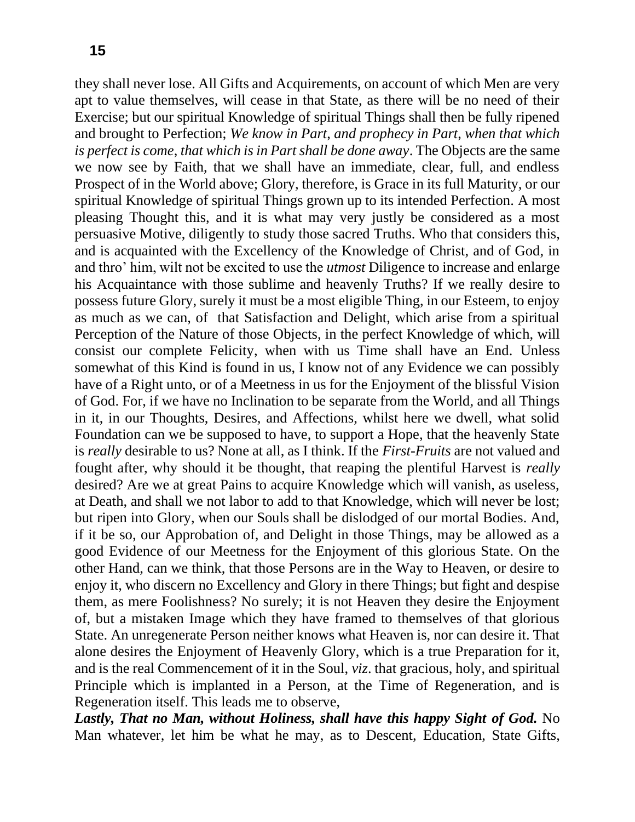they shall never lose. All Gifts and Acquirements, on account of which Men are very apt to value themselves, will cease in that State, as there will be no need of their Exercise; but our spiritual Knowledge of spiritual Things shall then be fully ripened and brought to Perfection; *We know in Part*, *and prophecy in Part*, *when that which is perfect is come*, *that which is in Part shall be done away*. The Objects are the same we now see by Faith, that we shall have an immediate, clear, full, and endless Prospect of in the World above; Glory, therefore, is Grace in its full Maturity, or our spiritual Knowledge of spiritual Things grown up to its intended Perfection. A most pleasing Thought this, and it is what may very justly be considered as a most persuasive Motive, diligently to study those sacred Truths. Who that considers this, and is acquainted with the Excellency of the Knowledge of Christ, and of God, in and thro' him, wilt not be excited to use the *utmost* Diligence to increase and enlarge his Acquaintance with those sublime and heavenly Truths? If we really desire to possess future Glory, surely it must be a most eligible Thing, in our Esteem, to enjoy as much as we can, of that Satisfaction and Delight, which arise from a spiritual Perception of the Nature of those Objects, in the perfect Knowledge of which, will consist our complete Felicity, when with us Time shall have an End. Unless somewhat of this Kind is found in us, I know not of any Evidence we can possibly have of a Right unto, or of a Meetness in us for the Enjoyment of the blissful Vision of God. For, if we have no Inclination to be separate from the World, and all Things in it, in our Thoughts, Desires, and Affections, whilst here we dwell, what solid Foundation can we be supposed to have, to support a Hope, that the heavenly State is *really* desirable to us? None at all, as I think. If the *First-Fruits* are not valued and fought after, why should it be thought, that reaping the plentiful Harvest is *really*  desired? Are we at great Pains to acquire Knowledge which will vanish, as useless, at Death, and shall we not labor to add to that Knowledge, which will never be lost; but ripen into Glory, when our Souls shall be dislodged of our mortal Bodies. And, if it be so, our Approbation of, and Delight in those Things, may be allowed as a good Evidence of our Meetness for the Enjoyment of this glorious State. On the other Hand, can we think, that those Persons are in the Way to Heaven, or desire to enjoy it, who discern no Excellency and Glory in there Things; but fight and despise them, as mere Foolishness? No surely; it is not Heaven they desire the Enjoyment of, but a mistaken Image which they have framed to themselves of that glorious State. An unregenerate Person neither knows what Heaven is, nor can desire it. That alone desires the Enjoyment of Heavenly Glory, which is a true Preparation for it, and is the real Commencement of it in the Soul, *viz*. that gracious, holy, and spiritual Principle which is implanted in a Person, at the Time of Regeneration, and is Regeneration itself. This leads me to observe,

*Lastly, That no Man, without Holiness, shall have this happy Sight of God.* No Man whatever, let him be what he may, as to Descent, Education, State Gifts,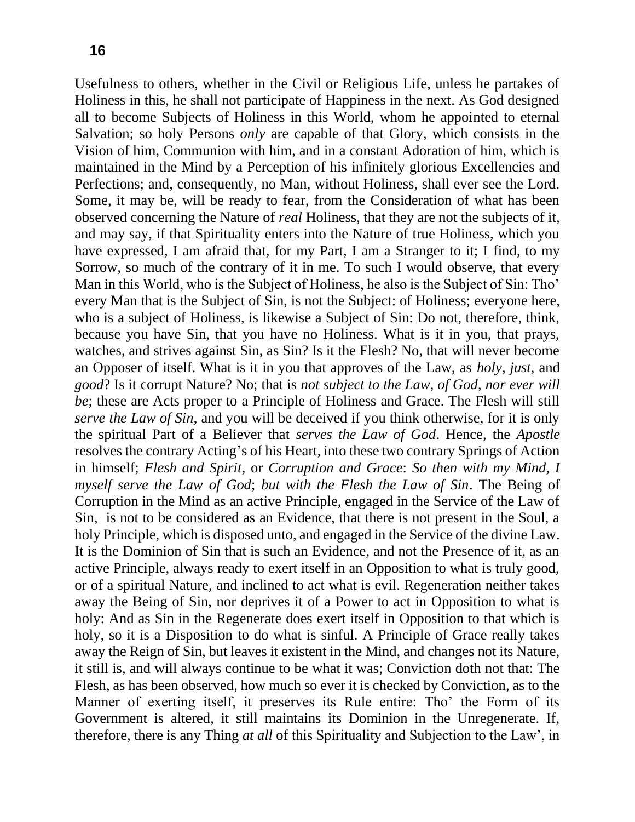Usefulness to others, whether in the Civil or Religious Life, unless he partakes of Holiness in this, he shall not participate of Happiness in the next. As God designed all to become Subjects of Holiness in this World, whom he appointed to eternal Salvation; so holy Persons *only* are capable of that Glory, which consists in the Vision of him, Communion with him, and in a constant Adoration of him, which is maintained in the Mind by a Perception of his infinitely glorious Excellencies and Perfections; and, consequently, no Man, without Holiness, shall ever see the Lord. Some, it may be, will be ready to fear, from the Consideration of what has been observed concerning the Nature of *real* Holiness, that they are not the subjects of it, and may say, if that Spirituality enters into the Nature of true Holiness, which you have expressed, I am afraid that, for my Part, I am a Stranger to it; I find, to my Sorrow, so much of the contrary of it in me. To such I would observe, that every Man in this World, who is the Subject of Holiness, he also is the Subject of Sin: Tho' every Man that is the Subject of Sin, is not the Subject: of Holiness; everyone here, who is a subject of Holiness, is likewise a Subject of Sin: Do not, therefore, think, because you have Sin, that you have no Holiness. What is it in you, that prays, watches, and strives against Sin, as Sin? Is it the Flesh? No, that will never become an Opposer of itself. What is it in you that approves of the Law, as *holy*, *just*, and *good*? Is it corrupt Nature? No; that is *not subject to the Law*, *of God*, *nor ever will be*; these are Acts proper to a Principle of Holiness and Grace. The Flesh will still *serve the Law of Sin*, and you will be deceived if you think otherwise, for it is only the spiritual Part of a Believer that *serves the Law of God*. Hence, the *Apostle*  resolves the contrary Acting's of his Heart, into these two contrary Springs of Action in himself; *Flesh and Spirit*, or *Corruption and Grace*: *So then with my Mind, I myself serve the Law of God*; *but with the Flesh the Law of Sin*. The Being of Corruption in the Mind as an active Principle, engaged in the Service of the Law of Sin, is not to be considered as an Evidence, that there is not present in the Soul, a holy Principle, which is disposed unto, and engaged in the Service of the divine Law. It is the Dominion of Sin that is such an Evidence, and not the Presence of it, as an active Principle, always ready to exert itself in an Opposition to what is truly good, or of a spiritual Nature, and inclined to act what is evil. Regeneration neither takes away the Being of Sin, nor deprives it of a Power to act in Opposition to what is holy: And as Sin in the Regenerate does exert itself in Opposition to that which is holy, so it is a Disposition to do what is sinful. A Principle of Grace really takes away the Reign of Sin, but leaves it existent in the Mind, and changes not its Nature, it still is, and will always continue to be what it was; Conviction doth not that: The Flesh, as has been observed, how much so ever it is checked by Conviction, as to the Manner of exerting itself, it preserves its Rule entire: Tho' the Form of its Government is altered, it still maintains its Dominion in the Unregenerate. If, therefore, there is any Thing *at all* of this Spirituality and Subjection to the Law', in